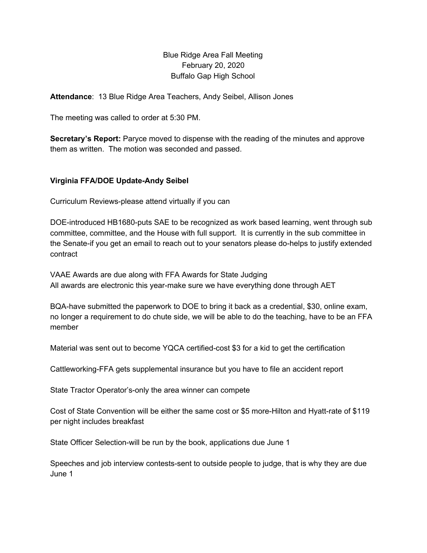# Blue Ridge Area Fall Meeting February 20, 2020 Buffalo Gap High School

**Attendance**: 13 Blue Ridge Area Teachers, Andy Seibel, Allison Jones

The meeting was called to order at 5:30 PM.

**Secretary's Report:** Paryce moved to dispense with the reading of the minutes and approve them as written. The motion was seconded and passed.

## **Virginia FFA/DOE Update-Andy Seibel**

Curriculum Reviews-please attend virtually if you can

DOE-introduced HB1680-puts SAE to be recognized as work based learning, went through sub committee, committee, and the House with full support. It is currently in the sub committee in the Senate-if you get an email to reach out to your senators please do-helps to justify extended contract

VAAE Awards are due along with FFA Awards for State Judging All awards are electronic this year-make sure we have everything done through AET

BQA-have submitted the paperwork to DOE to bring it back as a credential, \$30, online exam, no longer a requirement to do chute side, we will be able to do the teaching, have to be an FFA member

Material was sent out to become YQCA certified-cost \$3 for a kid to get the certification

Cattleworking-FFA gets supplemental insurance but you have to file an accident report

State Tractor Operator's-only the area winner can compete

Cost of State Convention will be either the same cost or \$5 more-Hilton and Hyatt-rate of \$119 per night includes breakfast

State Officer Selection-will be run by the book, applications due June 1

Speeches and job interview contests-sent to outside people to judge, that is why they are due June 1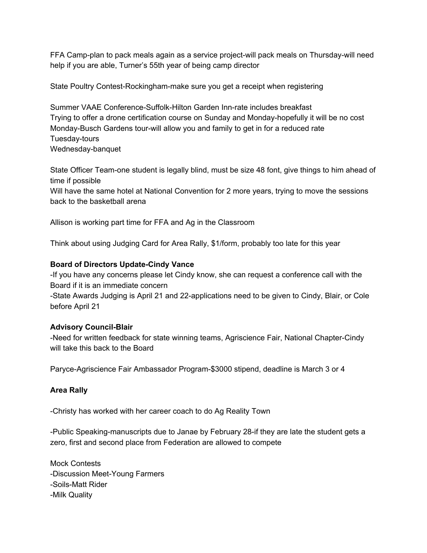FFA Camp-plan to pack meals again as a service project-will pack meals on Thursday-will need help if you are able, Turner's 55th year of being camp director

State Poultry Contest-Rockingham-make sure you get a receipt when registering

Summer VAAE Conference-Suffolk-Hilton Garden Inn-rate includes breakfast Trying to offer a drone certification course on Sunday and Monday-hopefully it will be no cost Monday-Busch Gardens tour-will allow you and family to get in for a reduced rate Tuesday-tours Wednesday-banquet

State Officer Team-one student is legally blind, must be size 48 font, give things to him ahead of time if possible

Will have the same hotel at National Convention for 2 more years, trying to move the sessions back to the basketball arena

Allison is working part time for FFA and Ag in the Classroom

Think about using Judging Card for Area Rally, \$1/form, probably too late for this year

## **Board of Directors Update-Cindy Vance**

-If you have any concerns please let Cindy know, she can request a conference call with the Board if it is an immediate concern

-State Awards Judging is April 21 and 22-applications need to be given to Cindy, Blair, or Cole before April 21

#### **Advisory Council-Blair**

-Need for written feedback for state winning teams, Agriscience Fair, National Chapter-Cindy will take this back to the Board

Paryce-Agriscience Fair Ambassador Program-\$3000 stipend, deadline is March 3 or 4

## **Area Rally**

-Christy has worked with her career coach to do Ag Reality Town

-Public Speaking-manuscripts due to Janae by February 28-if they are late the student gets a zero, first and second place from Federation are allowed to compete

Mock Contests -Discussion Meet-Young Farmers -Soils-Matt Rider -Milk Quality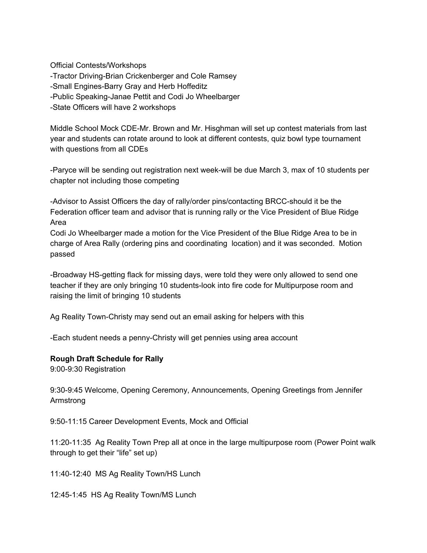Official Contests/Workshops -Tractor Driving-Brian Crickenberger and Cole Ramsey -Small Engines-Barry Gray and Herb Hoffeditz -Public Speaking-Janae Pettit and Codi Jo Wheelbarger -State Officers will have 2 workshops

Middle School Mock CDE-Mr. Brown and Mr. Hisghman will set up contest materials from last year and students can rotate around to look at different contests, quiz bowl type tournament with questions from all CDEs

-Paryce will be sending out registration next week-will be due March 3, max of 10 students per chapter not including those competing

-Advisor to Assist Officers the day of rally/order pins/contacting BRCC-should it be the Federation officer team and advisor that is running rally or the Vice President of Blue Ridge Area

Codi Jo Wheelbarger made a motion for the Vice President of the Blue Ridge Area to be in charge of Area Rally (ordering pins and coordinating location) and it was seconded. Motion passed

-Broadway HS-getting flack for missing days, were told they were only allowed to send one teacher if they are only bringing 10 students-look into fire code for Multipurpose room and raising the limit of bringing 10 students

Ag Reality Town-Christy may send out an email asking for helpers with this

-Each student needs a penny-Christy will get pennies using area account

#### **Rough Draft Schedule for Rally**

9:00-9:30 Registration

9:30-9:45 Welcome, Opening Ceremony, Announcements, Opening Greetings from Jennifer Armstrong

9:50-11:15 Career Development Events, Mock and Official

11:20-11:35 Ag Reality Town Prep all at once in the large multipurpose room (Power Point walk through to get their "life" set up)

11:40-12:40 MS Ag Reality Town/HS Lunch

12:45-1:45 HS Ag Reality Town/MS Lunch